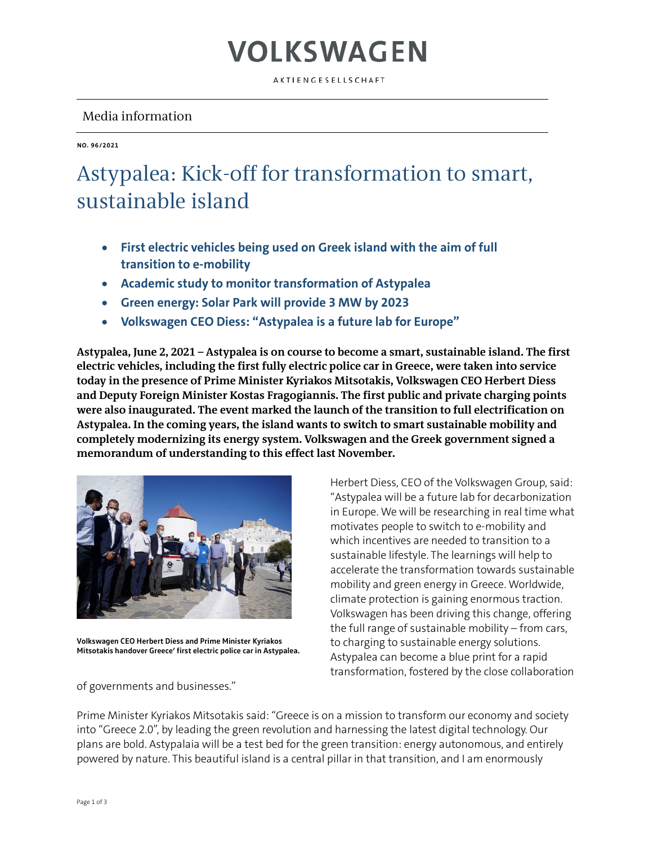### VOLKSWAGEN

AKTIENGESELLSCHAFT

### Media information

**NO. 96/2021**

### Astypalea: Kick-off for transformation to smart, sustainable island

- **First electric vehicles being used on Greek island with the aim of full transition to e-mobility**
- **Academic study to monitor transformation of Astypalea**
- **Green energy: Solar Park will provide 3 MW by 2023**
- **Volkswagen CEO Diess: "Astypalea is a future lab for Europe"**

**Astypalea, June 2, 2021 – Astypalea is on course to become a smart, sustainable island. The first electric vehicles, including the first fully electric police car in Greece, were taken into service today in the presence of Prime Minister Kyriakos Mitsotakis, Volkswagen CEO Herbert Diess and Deputy Foreign Minister Kostas Fragogiannis. The first public and private charging points were also inaugurated. The event marked the launch of the transition to full electrification on Astypalea. In the coming years, the island wants to switch to smart sustainable mobility and completely modernizing its energy system. Volkswagen and the Greek government signed a memorandum of understanding to this effect last November.** 



**Volkswagen CEO Herbert Diess and Prime Minister Kyriakos Mitsotakis handover Greece' first electric police car in Astypalea.**

of governments and businesses."

Herbert Diess, CEO of the Volkswagen Group, said: "Astypalea will be a future lab for decarbonization in Europe. We will be researching in real time what motivates people to switch to e-mobility and which incentives are needed to transition to a sustainable lifestyle. The learnings will help to accelerate the transformation towards sustainable mobility and green energy in Greece. Worldwide, climate protection is gaining enormous traction. Volkswagen has been driving this change, offering the full range of sustainable mobility – from cars, to charging to sustainable energy solutions. Astypalea can become a blue print for a rapid transformation, fostered by the close collaboration

Prime Minister Kyriakos Mitsotakis said: "Greece is on a mission to transform our economy and society into "Greece 2.0", by leading the green revolution and harnessing the latest digital technology. Our plans are bold. Astypalaia will be a test bed for the green transition: energy autonomous, and entirely powered by nature. This beautiful island is a central pillar in that transition, and I am enormously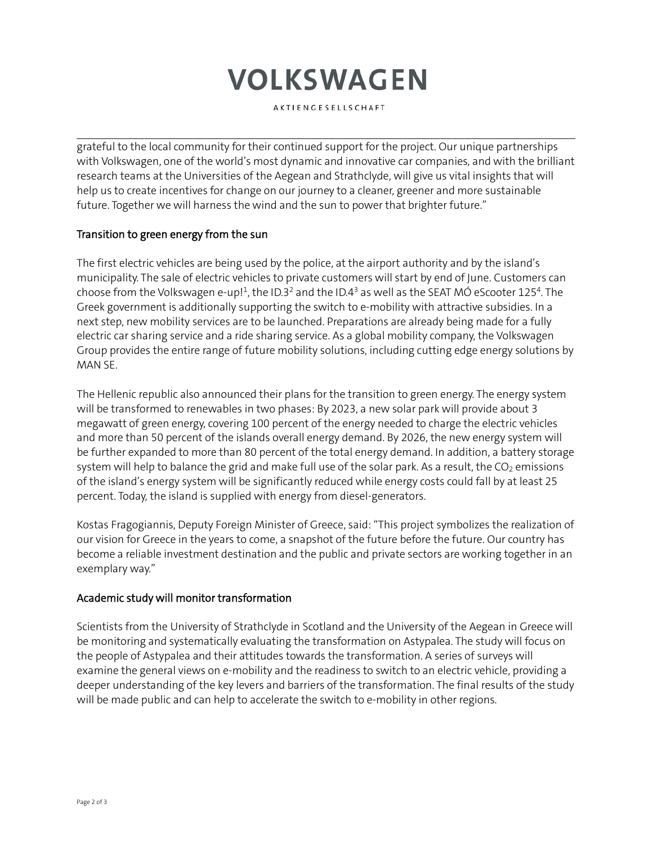# **VOLKSWAGEN**

AKTIENGESELLSCHAFT

 $\mathcal{L}_\mathcal{L} = \{ \mathcal{L}_\mathcal{L} = \{ \mathcal{L}_\mathcal{L} = \{ \mathcal{L}_\mathcal{L} = \{ \mathcal{L}_\mathcal{L} = \{ \mathcal{L}_\mathcal{L} = \{ \mathcal{L}_\mathcal{L} = \{ \mathcal{L}_\mathcal{L} = \{ \mathcal{L}_\mathcal{L} = \{ \mathcal{L}_\mathcal{L} = \{ \mathcal{L}_\mathcal{L} = \{ \mathcal{L}_\mathcal{L} = \{ \mathcal{L}_\mathcal{L} = \{ \mathcal{L}_\mathcal{L} = \{ \mathcal{L}_\mathcal{$ 

grateful to the local community for their continued support for the project. Our unique partnerships with Volkswagen, one of the world's most dynamic and innovative car companies, and with the brilliant research teams at the Universities of the Aegean and Strathclyde, will give us vital insights that will help us to create incentives for change on our journey to a cleaner, greener and more sustainable future. Together we will harness the wind and the sun to power that brighter future."

#### Transition to green energy from the sun

The first electric vehicles are being used by the police, at the airport authority and by the island's municipality. The sale of electric vehicles to private customers will start by end of June. Customers can choose from the Volkswagen e-up! $1$ , the ID.3<sup>2</sup> and the ID.4<sup>3</sup> as well as the SEAT MÓ eScooter 125<sup>4</sup>. The Greek government is additionally supporting the switch to e-mobility with attractive subsidies. In a next step, new mobility services are to be launched. Preparations are already being made for a fully electric car sharing service and a ride sharing service. As a global mobility company, the Volkswagen Group provides the entire range of future mobility solutions, including cutting edge energy solutions by MAN SE.

The Hellenic republic also announced their plans for the transition to green energy. The energy system will be transformed to renewables in two phases: By 2023, a new solar park will provide about 3 megawatt of green energy, covering 100 percent of the energy needed to charge the electric vehicles and more than 50 percent of the islands overall energy demand. By 2026, the new energy system will be further expanded to more than 80 percent of the total energy demand. In addition, a battery storage system will help to balance the grid and make full use of the solar park. As a result, the  $CO<sub>2</sub>$  emissions of the island's energy system will be significantly reduced while energy costs could fall by at least 25 percent. Today, the island is supplied with energy from diesel-generators.

Kostas Fragogiannis, Deputy Foreign Minister of Greece, said: "This project symbolizes the realization of our vision for Greece in the years to come, a snapshot of the future before the future. Our country has become a reliable investment destination and the public and private sectors are working together in an exemplary way."

#### Academic study will monitor transformation

Scientists from the University of Strathclyde in Scotland and the University of the Aegean in Greece will be monitoring and systematically evaluating the transformation on Astypalea. The study will focus on the people of Astypalea and their attitudes towards the transformation. A series of surveys will examine the general views on e-mobility and the readiness to switch to an electric vehicle, providing a deeper understanding of the key levers and barriers of the transformation. The final results of the study will be made public and can help to accelerate the switch to e-mobility in other regions.